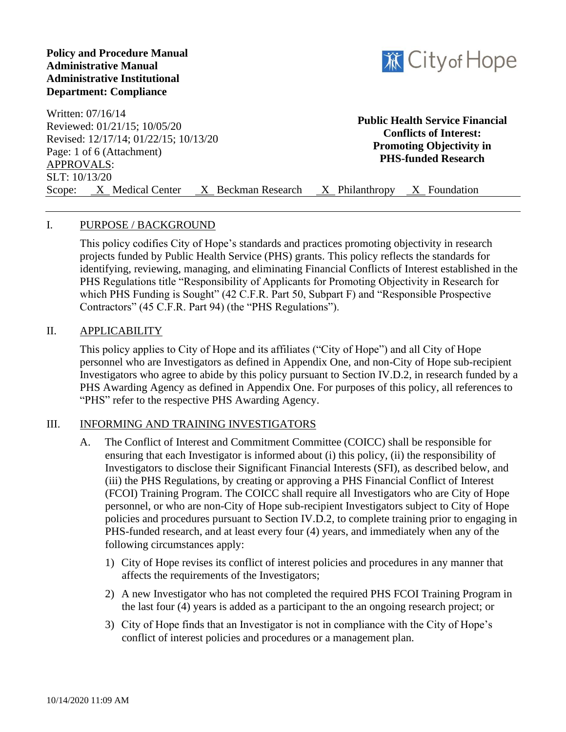## **Policy and Procedure Manual Administrative Manual Administrative Institutional Department: Compliance**



Written: 07/16/14 Reviewed: 01/21/15; 10/05/20 Revised: 12/17/14; 01/22/15; 10/13/20 Page: 1 of 6 (Attachment) APPROVALS: SLT: 10/13/20 Scope: X Medical Center X Beckman Research X Philanthropy X Foundation **Public Health Service Financial Conflicts of Interest: Promoting Objectivity in PHS-funded Research**

## I. PURPOSE / BACKGROUND

This policy codifies City of Hope's standards and practices promoting objectivity in research projects funded by Public Health Service (PHS) grants. This policy reflects the standards for identifying, reviewing, managing, and eliminating Financial Conflicts of Interest established in the PHS Regulations title "Responsibility of Applicants for Promoting Objectivity in Research for which PHS Funding is Sought" (42 C.F.R. Part 50, Subpart F) and "Responsible Prospective Contractors" (45 C.F.R. Part 94) (the "PHS Regulations").

#### II. APPLICABILITY

This policy applies to City of Hope and its affiliates ("City of Hope") and all City of Hope personnel who are Investigators as defined in Appendix One, and non-City of Hope sub-recipient Investigators who agree to abide by this policy pursuant to Section IV.D.2, in research funded by a PHS Awarding Agency as defined in Appendix One. For purposes of this policy, all references to "PHS" refer to the respective PHS Awarding Agency.

## III. INFORMING AND TRAINING INVESTIGATORS

- A. The Conflict of Interest and Commitment Committee (COICC) shall be responsible for ensuring that each Investigator is informed about (i) this policy, (ii) the responsibility of Investigators to disclose their Significant Financial Interests (SFI), as described below, and (iii) the PHS Regulations, by creating or approving a PHS Financial Conflict of Interest (FCOI) Training Program. The COICC shall require all Investigators who are City of Hope personnel, or who are non-City of Hope sub-recipient Investigators subject to City of Hope policies and procedures pursuant to Section IV.D.2, to complete training prior to engaging in PHS-funded research, and at least every four (4) years, and immediately when any of the following circumstances apply:
	- 1) City of Hope revises its conflict of interest policies and procedures in any manner that affects the requirements of the Investigators;
	- 2) A new Investigator who has not completed the required PHS FCOI Training Program in the last four (4) years is added as a participant to the an ongoing research project; or
	- 3) City of Hope finds that an Investigator is not in compliance with the City of Hope's conflict of interest policies and procedures or a management plan.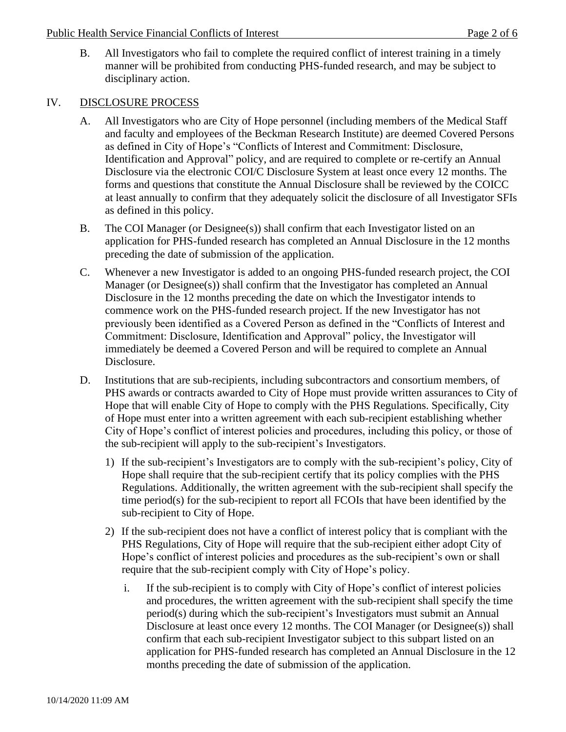B. All Investigators who fail to complete the required conflict of interest training in a timely manner will be prohibited from conducting PHS-funded research, and may be subject to disciplinary action.

## IV. DISCLOSURE PROCESS

- A. All Investigators who are City of Hope personnel (including members of the Medical Staff and faculty and employees of the Beckman Research Institute) are deemed Covered Persons as defined in City of Hope's "Conflicts of Interest and Commitment: Disclosure, Identification and Approval" policy, and are required to complete or re-certify an Annual Disclosure via the electronic COI/C Disclosure System at least once every 12 months. The forms and questions that constitute the Annual Disclosure shall be reviewed by the COICC at least annually to confirm that they adequately solicit the disclosure of all Investigator SFIs as defined in this policy.
- B. The COI Manager (or Designee(s)) shall confirm that each Investigator listed on an application for PHS-funded research has completed an Annual Disclosure in the 12 months preceding the date of submission of the application.
- C. Whenever a new Investigator is added to an ongoing PHS-funded research project, the COI Manager (or Designee(s)) shall confirm that the Investigator has completed an Annual Disclosure in the 12 months preceding the date on which the Investigator intends to commence work on the PHS-funded research project. If the new Investigator has not previously been identified as a Covered Person as defined in the "Conflicts of Interest and Commitment: Disclosure, Identification and Approval" policy, the Investigator will immediately be deemed a Covered Person and will be required to complete an Annual Disclosure.
- D. Institutions that are sub-recipients, including subcontractors and consortium members, of PHS awards or contracts awarded to City of Hope must provide written assurances to City of Hope that will enable City of Hope to comply with the PHS Regulations. Specifically, City of Hope must enter into a written agreement with each sub-recipient establishing whether City of Hope's conflict of interest policies and procedures, including this policy, or those of the sub-recipient will apply to the sub-recipient's Investigators.
	- 1) If the sub-recipient's Investigators are to comply with the sub-recipient's policy, City of Hope shall require that the sub-recipient certify that its policy complies with the PHS Regulations. Additionally, the written agreement with the sub-recipient shall specify the time period(s) for the sub-recipient to report all FCOIs that have been identified by the sub-recipient to City of Hope.
	- 2) If the sub-recipient does not have a conflict of interest policy that is compliant with the PHS Regulations, City of Hope will require that the sub-recipient either adopt City of Hope's conflict of interest policies and procedures as the sub-recipient's own or shall require that the sub-recipient comply with City of Hope's policy.
		- i. If the sub-recipient is to comply with City of Hope's conflict of interest policies and procedures, the written agreement with the sub-recipient shall specify the time period(s) during which the sub-recipient's Investigators must submit an Annual Disclosure at least once every 12 months. The COI Manager (or Designee(s)) shall confirm that each sub-recipient Investigator subject to this subpart listed on an application for PHS-funded research has completed an Annual Disclosure in the 12 months preceding the date of submission of the application.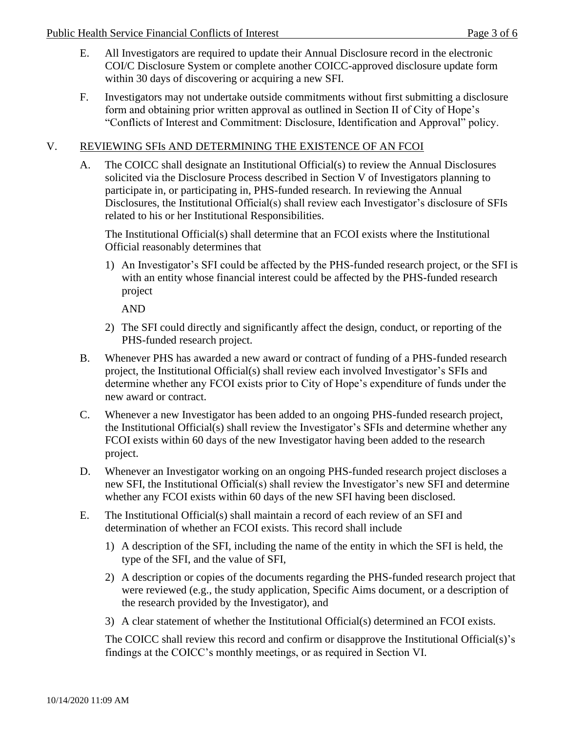- E. All Investigators are required to update their Annual Disclosure record in the electronic COI/C Disclosure System or complete another COICC-approved disclosure update form within 30 days of discovering or acquiring a new SFI.
- F. Investigators may not undertake outside commitments without first submitting a disclosure form and obtaining prior written approval as outlined in Section II of City of Hope's "Conflicts of Interest and Commitment: Disclosure, Identification and Approval" policy.

# V. REVIEWING SFIs AND DETERMINING THE EXISTENCE OF AN FCOI

A. The COICC shall designate an Institutional Official(s) to review the Annual Disclosures solicited via the Disclosure Process described in Section V of Investigators planning to participate in, or participating in, PHS-funded research. In reviewing the Annual Disclosures, the Institutional Official(s) shall review each Investigator's disclosure of SFIs related to his or her Institutional Responsibilities.

The Institutional Official(s) shall determine that an FCOI exists where the Institutional Official reasonably determines that

1) An Investigator's SFI could be affected by the PHS-funded research project, or the SFI is with an entity whose financial interest could be affected by the PHS-funded research project

AND

- 2) The SFI could directly and significantly affect the design, conduct, or reporting of the PHS-funded research project.
- B. Whenever PHS has awarded a new award or contract of funding of a PHS-funded research project, the Institutional Official(s) shall review each involved Investigator's SFIs and determine whether any FCOI exists prior to City of Hope's expenditure of funds under the new award or contract.
- C. Whenever a new Investigator has been added to an ongoing PHS-funded research project, the Institutional Official(s) shall review the Investigator's SFIs and determine whether any FCOI exists within 60 days of the new Investigator having been added to the research project.
- D. Whenever an Investigator working on an ongoing PHS-funded research project discloses a new SFI, the Institutional Official(s) shall review the Investigator's new SFI and determine whether any FCOI exists within 60 days of the new SFI having been disclosed.
- E. The Institutional Official(s) shall maintain a record of each review of an SFI and determination of whether an FCOI exists. This record shall include
	- 1) A description of the SFI, including the name of the entity in which the SFI is held, the type of the SFI, and the value of SFI,
	- 2) A description or copies of the documents regarding the PHS-funded research project that were reviewed (e.g., the study application, Specific Aims document, or a description of the research provided by the Investigator), and
	- 3) A clear statement of whether the Institutional Official(s) determined an FCOI exists.

The COICC shall review this record and confirm or disapprove the Institutional Official(s)'s findings at the COICC's monthly meetings, or as required in Section VI.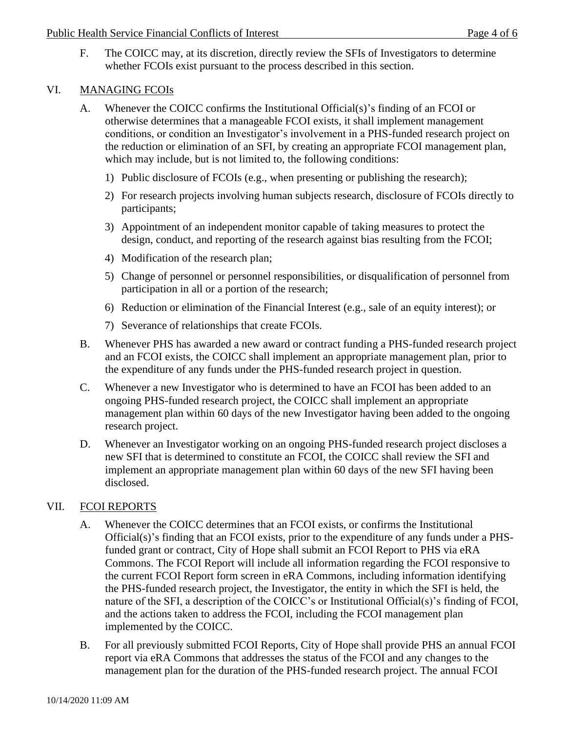F. The COICC may, at its discretion, directly review the SFIs of Investigators to determine whether FCOIs exist pursuant to the process described in this section.

# VI. MANAGING FCOIs

- A. Whenever the COICC confirms the Institutional Official(s)'s finding of an FCOI or otherwise determines that a manageable FCOI exists, it shall implement management conditions, or condition an Investigator's involvement in a PHS-funded research project on the reduction or elimination of an SFI, by creating an appropriate FCOI management plan, which may include, but is not limited to, the following conditions:
	- 1) Public disclosure of FCOIs (e.g., when presenting or publishing the research);
	- 2) For research projects involving human subjects research, disclosure of FCOIs directly to participants;
	- 3) Appointment of an independent monitor capable of taking measures to protect the design, conduct, and reporting of the research against bias resulting from the FCOI;
	- 4) Modification of the research plan;
	- 5) Change of personnel or personnel responsibilities, or disqualification of personnel from participation in all or a portion of the research;
	- 6) Reduction or elimination of the Financial Interest (e.g., sale of an equity interest); or
	- 7) Severance of relationships that create FCOIs.
- B. Whenever PHS has awarded a new award or contract funding a PHS-funded research project and an FCOI exists, the COICC shall implement an appropriate management plan, prior to the expenditure of any funds under the PHS-funded research project in question.
- C. Whenever a new Investigator who is determined to have an FCOI has been added to an ongoing PHS-funded research project, the COICC shall implement an appropriate management plan within 60 days of the new Investigator having been added to the ongoing research project.
- D. Whenever an Investigator working on an ongoing PHS-funded research project discloses a new SFI that is determined to constitute an FCOI, the COICC shall review the SFI and implement an appropriate management plan within 60 days of the new SFI having been disclosed.

# VII. FCOI REPORTS

- A. Whenever the COICC determines that an FCOI exists, or confirms the Institutional Official(s)'s finding that an FCOI exists, prior to the expenditure of any funds under a PHSfunded grant or contract, City of Hope shall submit an FCOI Report to PHS via eRA Commons. The FCOI Report will include all information regarding the FCOI responsive to the current FCOI Report form screen in eRA Commons, including information identifying the PHS-funded research project, the Investigator, the entity in which the SFI is held, the nature of the SFI, a description of the COICC's or Institutional Official(s)'s finding of FCOI, and the actions taken to address the FCOI, including the FCOI management plan implemented by the COICC.
- B. For all previously submitted FCOI Reports, City of Hope shall provide PHS an annual FCOI report via eRA Commons that addresses the status of the FCOI and any changes to the management plan for the duration of the PHS-funded research project. The annual FCOI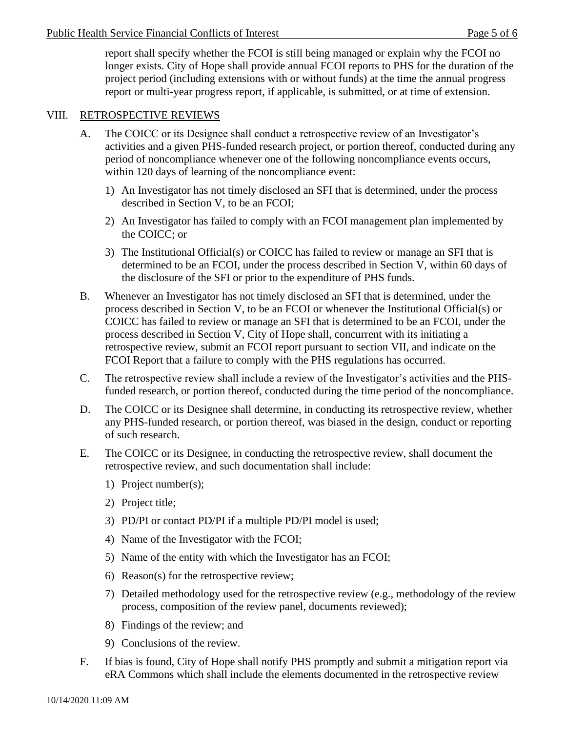report shall specify whether the FCOI is still being managed or explain why the FCOI no longer exists. City of Hope shall provide annual FCOI reports to PHS for the duration of the project period (including extensions with or without funds) at the time the annual progress report or multi-year progress report, if applicable, is submitted, or at time of extension.

## VIII. RETROSPECTIVE REVIEWS

- A. The COICC or its Designee shall conduct a retrospective review of an Investigator's activities and a given PHS-funded research project, or portion thereof, conducted during any period of noncompliance whenever one of the following noncompliance events occurs, within 120 days of learning of the noncompliance event:
	- 1) An Investigator has not timely disclosed an SFI that is determined, under the process described in Section V, to be an FCOI;
	- 2) An Investigator has failed to comply with an FCOI management plan implemented by the COICC; or
	- 3) The Institutional Official(s) or COICC has failed to review or manage an SFI that is determined to be an FCOI, under the process described in Section V, within 60 days of the disclosure of the SFI or prior to the expenditure of PHS funds.
- B. Whenever an Investigator has not timely disclosed an SFI that is determined, under the process described in Section V, to be an FCOI or whenever the Institutional Official(s) or COICC has failed to review or manage an SFI that is determined to be an FCOI, under the process described in Section V, City of Hope shall, concurrent with its initiating a retrospective review, submit an FCOI report pursuant to section VII, and indicate on the FCOI Report that a failure to comply with the PHS regulations has occurred.
- C. The retrospective review shall include a review of the Investigator's activities and the PHSfunded research, or portion thereof, conducted during the time period of the noncompliance.
- D. The COICC or its Designee shall determine, in conducting its retrospective review, whether any PHS-funded research, or portion thereof, was biased in the design, conduct or reporting of such research.
- E. The COICC or its Designee, in conducting the retrospective review, shall document the retrospective review, and such documentation shall include:
	- 1) Project number(s);
	- 2) Project title;
	- 3) PD/PI or contact PD/PI if a multiple PD/PI model is used;
	- 4) Name of the Investigator with the FCOI;
	- 5) Name of the entity with which the Investigator has an FCOI;
	- 6) Reason(s) for the retrospective review;
	- 7) Detailed methodology used for the retrospective review (e.g., methodology of the review process, composition of the review panel, documents reviewed);
	- 8) Findings of the review; and
	- 9) Conclusions of the review.
- F. If bias is found, City of Hope shall notify PHS promptly and submit a mitigation report via eRA Commons which shall include the elements documented in the retrospective review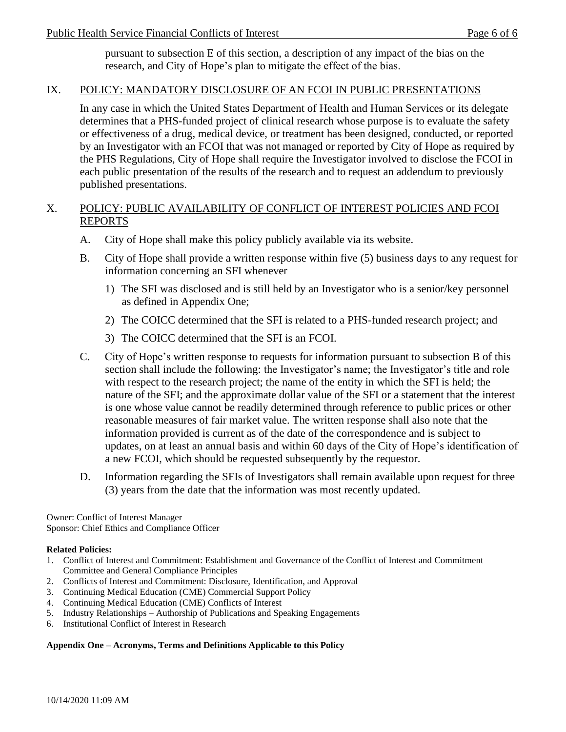pursuant to subsection E of this section, a description of any impact of the bias on the research, and City of Hope's plan to mitigate the effect of the bias.

## IX. POLICY: MANDATORY DISCLOSURE OF AN FCOI IN PUBLIC PRESENTATIONS

In any case in which the United States Department of Health and Human Services or its delegate determines that a PHS-funded project of clinical research whose purpose is to evaluate the safety or effectiveness of a drug, medical device, or treatment has been designed, conducted, or reported by an Investigator with an FCOI that was not managed or reported by City of Hope as required by the PHS Regulations, City of Hope shall require the Investigator involved to disclose the FCOI in each public presentation of the results of the research and to request an addendum to previously published presentations.

## X. POLICY: PUBLIC AVAILABILITY OF CONFLICT OF INTEREST POLICIES AND FCOI REPORTS

- A. City of Hope shall make this policy publicly available via its website.
- B. City of Hope shall provide a written response within five (5) business days to any request for information concerning an SFI whenever
	- 1) The SFI was disclosed and is still held by an Investigator who is a senior/key personnel as defined in Appendix One;
	- 2) The COICC determined that the SFI is related to a PHS-funded research project; and
	- 3) The COICC determined that the SFI is an FCOI.
- C. City of Hope's written response to requests for information pursuant to subsection B of this section shall include the following: the Investigator's name; the Investigator's title and role with respect to the research project; the name of the entity in which the SFI is held; the nature of the SFI; and the approximate dollar value of the SFI or a statement that the interest is one whose value cannot be readily determined through reference to public prices or other reasonable measures of fair market value. The written response shall also note that the information provided is current as of the date of the correspondence and is subject to updates, on at least an annual basis and within 60 days of the City of Hope's identification of a new FCOI, which should be requested subsequently by the requestor.
- D. Information regarding the SFIs of Investigators shall remain available upon request for three (3) years from the date that the information was most recently updated.

Owner: Conflict of Interest Manager Sponsor: Chief Ethics and Compliance Officer

#### **Related Policies:**

- 1. Conflict of Interest and Commitment: Establishment and Governance of the Conflict of Interest and Commitment Committee and General Compliance Principles
- 2. Conflicts of Interest and Commitment: Disclosure, Identification, and Approval
- 3. Continuing Medical Education (CME) Commercial Support Policy
- 4. Continuing Medical Education (CME) Conflicts of Interest
- 5. Industry Relationships Authorship of Publications and Speaking Engagements
- 6. Institutional Conflict of Interest in Research

#### **Appendix One – Acronyms, Terms and Definitions Applicable to this Policy**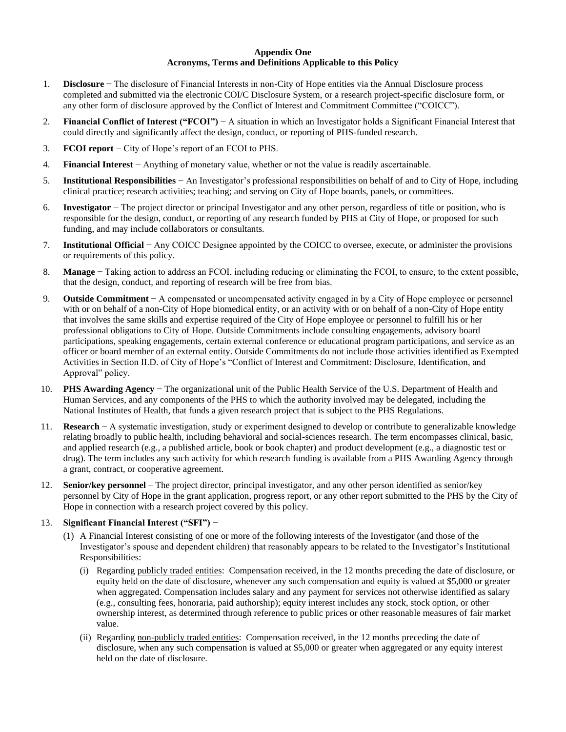#### **Appendix One Acronyms, Terms and Definitions Applicable to this Policy**

- 1. **Disclosure** − The disclosure of Financial Interests in non-City of Hope entities via the Annual Disclosure process completed and submitted via the electronic COI/C Disclosure System, or a research project-specific disclosure form, or any other form of disclosure approved by the Conflict of Interest and Commitment Committee ("COICC").
- 2. **Financial Conflict of Interest ("FCOI")** − A situation in which an Investigator holds a Significant Financial Interest that could directly and significantly affect the design, conduct, or reporting of PHS-funded research.
- 3. **FCOI report** − City of Hope's report of an FCOI to PHS.
- 4. **Financial Interest** − Anything of monetary value, whether or not the value is readily ascertainable.
- 5. **Institutional Responsibilities** − An Investigator's professional responsibilities on behalf of and to City of Hope, including clinical practice; research activities; teaching; and serving on City of Hope boards, panels, or committees.
- 6. **Investigator** − The project director or principal Investigator and any other person, regardless of title or position, who is responsible for the design, conduct, or reporting of any research funded by PHS at City of Hope, or proposed for such funding, and may include collaborators or consultants.
- 7. **Institutional Official** − Any COICC Designee appointed by the COICC to oversee, execute, or administer the provisions or requirements of this policy.
- 8. **Manage** − Taking action to address an FCOI, including reducing or eliminating the FCOI, to ensure, to the extent possible, that the design, conduct, and reporting of research will be free from bias.
- 9. **Outside Commitment** − A compensated or uncompensated activity engaged in by a City of Hope employee or personnel with or on behalf of a non-City of Hope biomedical entity, or an activity with or on behalf of a non-City of Hope entity that involves the same skills and expertise required of the City of Hope employee or personnel to fulfill his or her professional obligations to City of Hope. Outside Commitments include consulting engagements, advisory board participations, speaking engagements, certain external conference or educational program participations, and service as an officer or board member of an external entity. Outside Commitments do not include those activities identified as Exempted Activities in Section II.D. of City of Hope's "Conflict of Interest and Commitment: Disclosure, Identification, and Approval" policy.
- 10. **PHS Awarding Agency** − The organizational unit of the Public Health Service of the U.S. Department of Health and Human Services, and any components of the PHS to which the authority involved may be delegated, including the National Institutes of Health, that funds a given research project that is subject to the PHS Regulations.
- 11. **Research** − A systematic investigation, study or experiment designed to develop or contribute to generalizable knowledge relating broadly to public health, including behavioral and social-sciences research. The term encompasses clinical, basic, and applied research (e.g., a published article, book or book chapter) and product development (e.g., a diagnostic test or drug). The term includes any such activity for which research funding is available from a PHS Awarding Agency through a grant, contract, or cooperative agreement.
- 12. **Senior/key personnel** The project director, principal investigator, and any other person identified as senior/key personnel by City of Hope in the grant application, progress report, or any other report submitted to the PHS by the City of Hope in connection with a research project covered by this policy.

#### 13. **Significant Financial Interest ("SFI")** −

- (1) A Financial Interest consisting of one or more of the following interests of the Investigator (and those of the Investigator's spouse and dependent children) that reasonably appears to be related to the Investigator's Institutional Responsibilities:
	- (i) Regarding publicly traded entities: Compensation received, in the 12 months preceding the date of disclosure, or equity held on the date of disclosure, whenever any such compensation and equity is valued at \$5,000 or greater when aggregated. Compensation includes salary and any payment for services not otherwise identified as salary (e.g., consulting fees, honoraria, paid authorship); equity interest includes any stock, stock option, or other ownership interest, as determined through reference to public prices or other reasonable measures of fair market value.
	- (ii) Regarding non-publicly traded entities: Compensation received, in the 12 months preceding the date of disclosure, when any such compensation is valued at \$5,000 or greater when aggregated or any equity interest held on the date of disclosure.